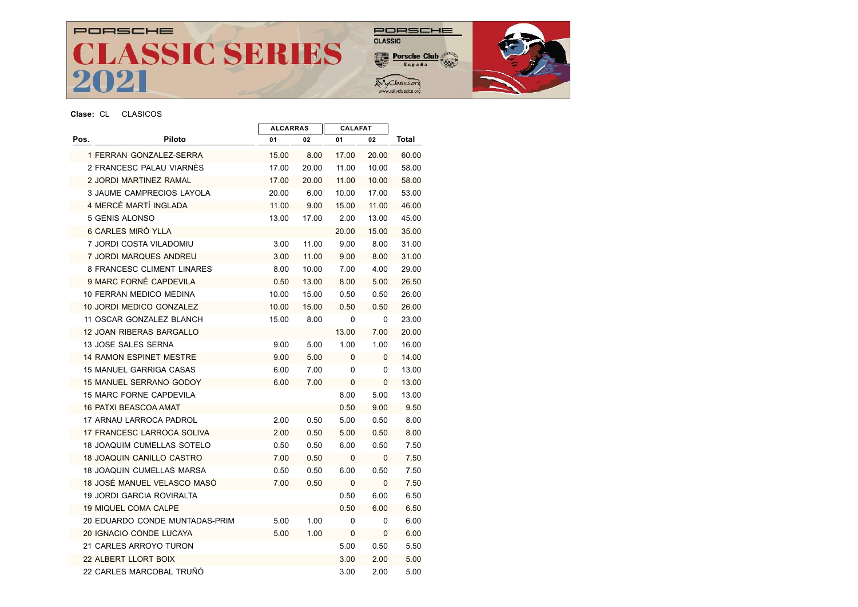# PORSCHE CLASSIC SERIES

# $\begin{array}{c}\n\text{DRSCH} \equiv \\
\text{CLASSIC}\n\end{array}$

Porsche Club

Rally Classics.org



### Clase: CL CLASICOS

|      |                                   | <b>ALCARRAS</b> |       | <b>CALAFAT</b> |              |       |
|------|-----------------------------------|-----------------|-------|----------------|--------------|-------|
| Pos. | Piloto                            | 01              | 02    | 01             | 02           | Total |
|      | 1 FERRAN GONZALEZ-SERRA           | 15.00           | 8.00  | 17.00          | 20.00        | 60.00 |
|      | 2 FRANCESC PALAU VIARNES          | 17.00           | 20.00 | 11.00          | 10.00        | 58.00 |
|      | 2 JORDI MARTINEZ RAMAL            | 17.00           | 20.00 | 11.00          | 10.00        | 58.00 |
|      | 3 JAUME CAMPRECIOS LAYOLA         | 20.00           | 6.00  | 10.00          | 17.00        | 53.00 |
|      | 4 MERCÈ MARTÍ INGLADA             | 11.00           | 9.00  | 15.00          | 11.00        | 46.00 |
|      | 5 GENIS ALONSO                    | 13.00           | 17.00 | 2.00           | 13.00        | 45.00 |
|      | 6 CARLES MIRÓ YLLA                |                 |       | 20.00          | 15.00        | 35.00 |
|      | 7 JORDI COSTA VILADOMIU           | 3.00            | 11.00 | 9.00           | 8.00         | 31.00 |
|      | 7 JORDI MARQUES ANDREU            | 3.00            | 11.00 | 9.00           | 8.00         | 31.00 |
|      | <b>8 FRANCESC CLIMENT LINARES</b> | 8.00            | 10.00 | 7.00           | 4.00         | 29.00 |
|      | 9 MARC FORNÉ CAPDEVILA            | 0.50            | 13.00 | 8.00           | 5.00         | 26.50 |
|      | 10 FERRAN MEDICO MEDINA           | 10.00           | 15.00 | 0.50           | 0.50         | 26.00 |
|      | 10 JORDI MEDICO GONZALEZ          | 10.00           | 15.00 | 0.50           | 0.50         | 26.00 |
|      | 11 OSCAR GONZALEZ BLANCH          | 15.00           | 8.00  | 0              | 0            | 23.00 |
|      | <b>12 JOAN RIBERAS BARGALLO</b>   |                 |       | 13.00          | 7.00         | 20.00 |
|      | 13 JOSE SALES SERNA               | 9.00            | 5.00  | 1.00           | 1.00         | 16.00 |
|      | <b>14 RAMON ESPINET MESTRE</b>    | 9.00            | 5.00  | 0              | $\mathbf{0}$ | 14.00 |
|      | 15 MANUEL GARRIGA CASAS           | 6.00            | 7.00  | 0              | 0            | 13.00 |
|      | <b>15 MANUEL SERRANO GODOY</b>    | 6.00            | 7.00  | 0              | 0            | 13.00 |
|      | <b>15 MARC FORNE CAPDEVILA</b>    |                 |       | 8.00           | 5.00         | 13.00 |
|      | <b>16 PATXI BEASCOA AMAT</b>      |                 |       | 0.50           | 9.00         | 9.50  |
|      | 17 ARNAU LARROCA PADROL           | 2.00            | 0.50  | 5.00           | 0.50         | 8.00  |
|      | 17 FRANCESC LARROCA SOLIVA        | 2.00            | 0.50  | 5.00           | 0.50         | 8.00  |
|      | <b>18 JOAQUIM CUMELLAS SOTELO</b> | 0.50            | 0.50  | 6.00           | 0.50         | 7.50  |
|      | <b>18 JOAQUIN CANILLO CASTRO</b>  | 7.00            | 0.50  | $\mathbf 0$    | $\mathbf{0}$ | 7.50  |
|      | <b>18 JOAQUIN CUMELLAS MARSA</b>  | 0.50            | 0.50  | 6.00           | 0.50         | 7.50  |
|      | 18 JOSÉ MANUEL VELASCO MASÓ       | 7.00            | 0.50  | $\mathbf 0$    | $\mathbf 0$  | 7.50  |
|      | 19 JORDI GARCIA ROVIRALTA         |                 |       | 0.50           | 6.00         | 6.50  |
|      | <b>19 MIQUEL COMA CALPE</b>       |                 |       | 0.50           | 6.00         | 6.50  |
|      | 20 EDUARDO CONDE MUNTADAS-PRIM    | 5.00            | 1.00  | 0              | $\mathbf 0$  | 6.00  |
|      | 20 IGNACIO CONDE LUCAYA           | 5.00            | 1.00  | 0              | 0            | 6.00  |
|      | 21 CARLES ARROYO TURON            |                 |       | 5.00           | 0.50         | 5.50  |
|      | 22 ALBERT LLORT BOIX              |                 |       | 3.00           | 2.00         | 5.00  |
|      | 22 CARLES MARCOBAL TRUÑÓ          |                 |       | 3.00           | 2.00         | 5.00  |
|      |                                   |                 |       |                |              |       |